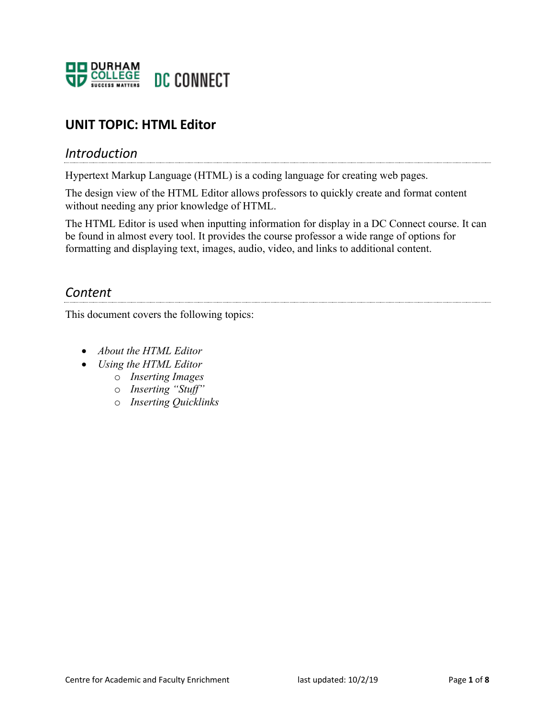

# **UNIT TOPIC: HTML Editor**

## *Introduction*

Hypertext Markup Language (HTML) is a coding language for creating web pages.

The design view of the HTML Editor allows professors to quickly create and format content without needing any prior knowledge of HTML.

The HTML Editor is used when inputting information for display in a DC Connect course. It can be found in almost every tool. It provides the course professor a wide range of options for formatting and displaying text, images, audio, video, and links to additional content.

## *Content*

This document covers the following topics:

- *About the HTML Editor*
- *Using the HTML Editor* 
	- o *Inserting Images*
	- o *Inserting "Stuff"*
	- o *Inserting Quicklinks*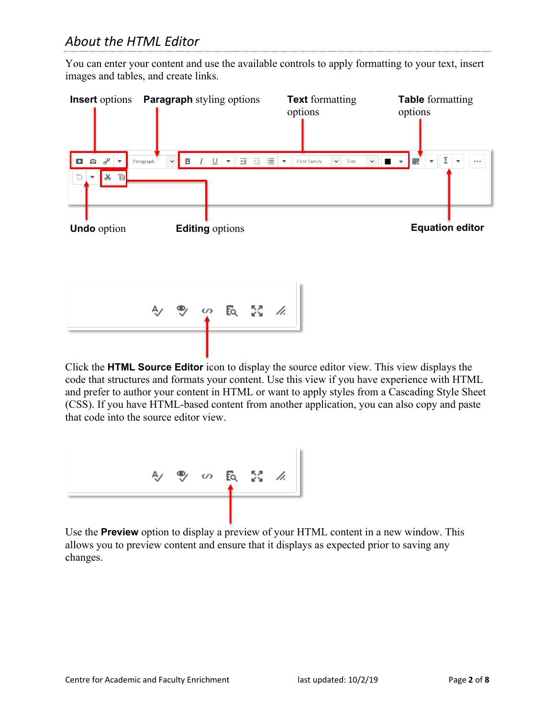You can enter your content and use the available controls to apply formatting to your text, insert images and tables, and create links.



Click the **HTML Source Editor** icon to display the source editor view. This view displays the code that structures and formats your content. Use this view if you have experience with HTML and prefer to author your content in HTML or want to apply styles from a Cascading Style Sheet (CSS). If you have HTML-based content from another application, you can also copy and paste that code into the source editor view.



Use the **Preview** option to display a preview of your HTML content in a new window. This allows you to preview content and ensure that it displays as expected prior to saving any changes.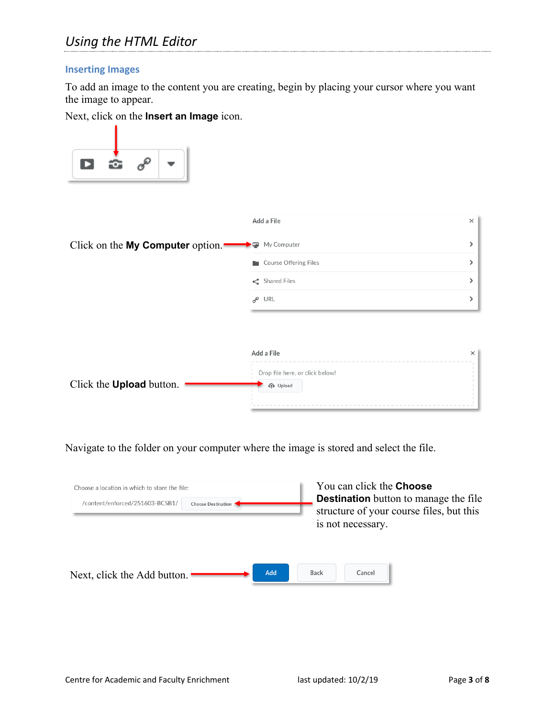# *Using the HTML Editor*

#### **Inserting Images**

To add an image to the content you are creating, begin by placing your cursor where you want the image to appear.

Next, click on the **Insert an Image** icon.



Navigate to the folder on your computer where the image is stored and select the file.

| Choose a location in which to store the file:<br>/content/enforced/251603-BCSB1/<br>Choose Destination |     | You can click the <b>Choose</b><br>is not necessary. | <b>Destination</b> button to manage the file<br>structure of your course files, but this |
|--------------------------------------------------------------------------------------------------------|-----|------------------------------------------------------|------------------------------------------------------------------------------------------|
| Next, click the Add button.                                                                            | Add | Back<br>Cancel                                       |                                                                                          |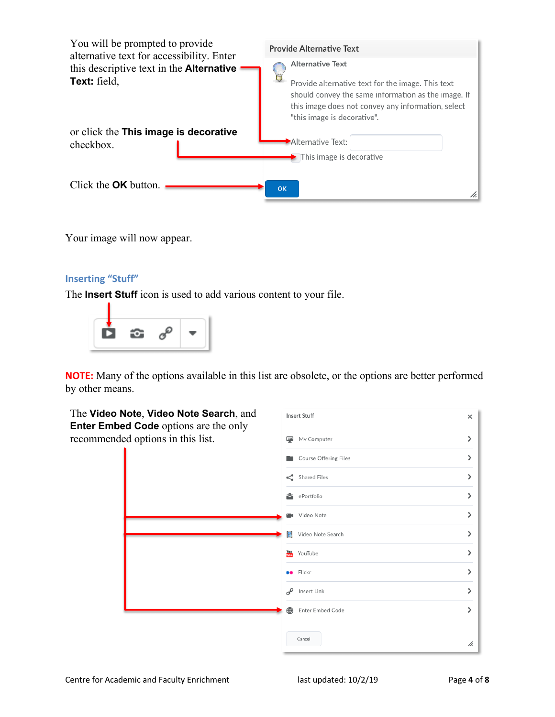| You will be prompted to provide<br>alternative text for accessibility. Enter<br>this descriptive text in the <b>Alternative</b><br>Text: field, | <b>Provide Alternative Text</b><br>Alternative Text<br>Provide alternative text for the image. This text<br>should convey the same information as the image. If<br>this image does not convey any information, select<br>"this image is decorative". |
|-------------------------------------------------------------------------------------------------------------------------------------------------|------------------------------------------------------------------------------------------------------------------------------------------------------------------------------------------------------------------------------------------------------|
| or click the This image is decorative<br>checkbox.                                                                                              | Alternative Text:<br>$\blacktriangleright$ This image is decorative                                                                                                                                                                                  |
| Click the <b>OK</b> button.                                                                                                                     | OK<br>h.                                                                                                                                                                                                                                             |

Your image will now appear.

## **Inserting "Stuff"**

The **Insert Stuff** icon is used to add various content to your file.



**NOTE:** Many of the options available in this list are obsolete, or the options are better performed by other means.

| The Video Note, Video Note Search, and<br><b>Enter Embed Code</b> options are the only<br>recommended options in this list. |  | <b>Insert Stuff</b>                |                              | $\times$ |
|-----------------------------------------------------------------------------------------------------------------------------|--|------------------------------------|------------------------------|----------|
|                                                                                                                             |  | ⊡                                  | My Computer                  |          |
|                                                                                                                             |  |                                    | <b>Course Offering Files</b> |          |
|                                                                                                                             |  |                                    | Shared Files                 |          |
|                                                                                                                             |  |                                    | ePortfolio                   |          |
|                                                                                                                             |  |                                    | Video Note                   |          |
|                                                                                                                             |  |                                    | Video Note Search            |          |
|                                                                                                                             |  | $\frac{Y_{\text{OU}}}{\text{max}}$ | YouTube                      |          |
|                                                                                                                             |  |                                    | <b>ee</b> Flickr             |          |
|                                                                                                                             |  | я                                  | Insert Link                  |          |
|                                                                                                                             |  | ⊕                                  | Enter Embed Code             |          |
|                                                                                                                             |  |                                    | Cancel                       | h.       |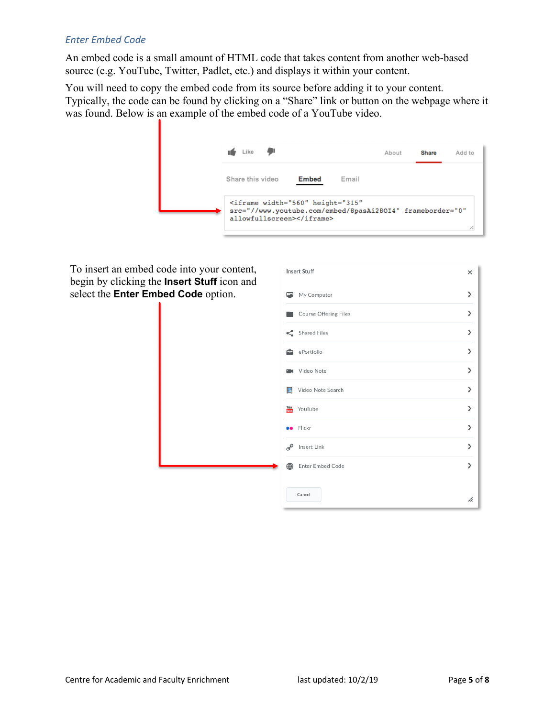#### *Enter Embed Code*

An embed code is a small amount of HTML code that takes content from another web-based source (e.g. YouTube, Twitter, Padlet, etc.) and displays it within your content.

You will need to copy the embed code from its source before adding it to your content. Typically, the code can be found by clicking on a "Share" link or button on the webpage where it was found. Below is an example of the embed code of a YouTube video.

| Like <b>JI</b>                                                                                                                     |       |       | About | <b>Share</b> | Add to |
|------------------------------------------------------------------------------------------------------------------------------------|-------|-------|-------|--------------|--------|
| Share this video                                                                                                                   | Embed | Email |       |              |        |
| <iframe <br="" height="315" width="560">src="//www.youtube.com/embed/8pasAi280I4" frameborder="0"<br/>allowfullscreen&gt;</iframe> |       |       |       |              |        |

To insert an embed code into begin by clicking the **Inse** select the **Enter Embed C** 

| into your content,<br>ert Stuff icon and | <b>Insert Stuff</b>                     | $\times$ |
|------------------------------------------|-----------------------------------------|----------|
| Code option.                             | My Computer<br>⋤                        | ᠈        |
|                                          | Course Offering Files                   | ゝ        |
|                                          | Shared Files                            | >        |
|                                          | ePortfolio<br>≏                         | >        |
|                                          | Video Note                              | >        |
|                                          | Video Note Search<br>п                  | >        |
|                                          | <b>You</b> YouTube                      | >        |
|                                          | <b>ee</b> Flickr                        | >        |
|                                          | $\sigma^{\!\mathcal{O}}$<br>Insert Link | >        |
|                                          | Enter Embed Code<br>⊕                   | >        |
|                                          | Cancel                                  | h.       |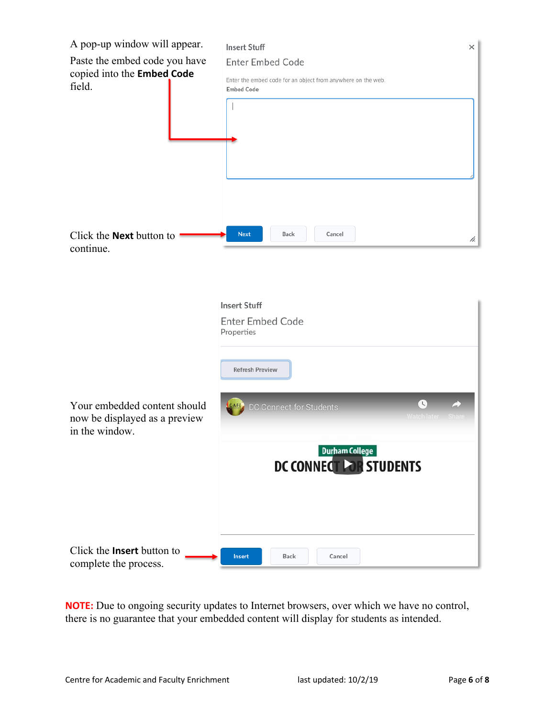| A pop-up window will appear.                                  | <b>Insert Stuff</b><br>$\times$                               |
|---------------------------------------------------------------|---------------------------------------------------------------|
| Paste the embed code you have                                 | <b>Enter Embed Code</b>                                       |
| copied into the Embed Code<br>field.                          | Enter the embed code for an object from anywhere on the web.  |
|                                                               | <b>Embed Code</b>                                             |
|                                                               |                                                               |
|                                                               |                                                               |
|                                                               |                                                               |
|                                                               |                                                               |
|                                                               |                                                               |
|                                                               |                                                               |
|                                                               |                                                               |
| Click the <b>Next</b> button to                               | <b>Next</b><br>Back<br>Cancel<br>h.                           |
| continue.                                                     |                                                               |
|                                                               |                                                               |
|                                                               |                                                               |
|                                                               | <b>Insert Stuff</b>                                           |
|                                                               | <b>Enter Embed Code</b>                                       |
|                                                               | Properties                                                    |
|                                                               |                                                               |
|                                                               | <b>Refresh Preview</b>                                        |
|                                                               |                                                               |
| Your embedded content should<br>now be displayed as a preview | $\mathbb{C}$<br>DC Connect for Students<br><b>Watch later</b> |
| in the window.                                                |                                                               |
|                                                               | <b>Durham College</b>                                         |
|                                                               | DC CONNECT LOR STUDENTS                                       |
|                                                               |                                                               |
|                                                               |                                                               |
|                                                               |                                                               |
|                                                               |                                                               |
| Click the Insert button to                                    | Insert<br>Cancel<br>Back                                      |
| complete the process.                                         |                                                               |

**NOTE:** Due to ongoing security updates to Internet browsers, over which we have no control, there is no guarantee that your embedded content will display for students as intended.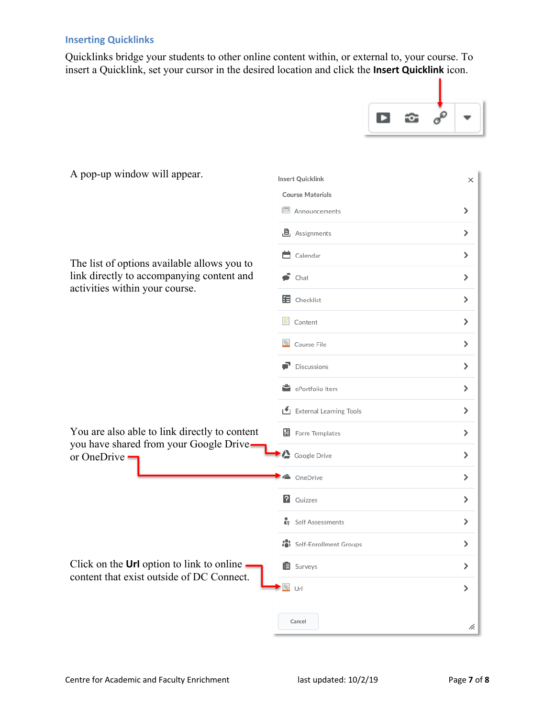#### **Inserting Quicklinks**

Quicklinks bridge your students to other online content within, or external to, your course. To insert a Quicklink, set your cursor in the desired location and click the **Insert Quicklink** icon.



| A pop-up window will appear.                                                                              | Insert Quicklink           | ×  |
|-----------------------------------------------------------------------------------------------------------|----------------------------|----|
| The list of options available allows you to<br>link directly to accompanying content and                  | <b>Course Materials</b>    |    |
|                                                                                                           | Announcements              | ⋗  |
|                                                                                                           | <b>图</b> Assignments       | >  |
|                                                                                                           | <b>i</b> Calendar          | ⋗  |
|                                                                                                           | $\bullet$ Chat             | ⋋  |
| activities within your course.                                                                            | <b>目</b> Checklist         | ⋗  |
|                                                                                                           | Content                    | ⋗  |
|                                                                                                           | S <br>Course File          | >  |
|                                                                                                           | $\blacksquare$ Discussions | ⋋  |
|                                                                                                           | ePortfolio Item            | >  |
|                                                                                                           | External Learning Tools    | ⋗  |
| You are also able to link directly to content<br>you have shared from your Google Drive-<br>or OneDrive - | <b>图</b> Form Templates    | ⋗  |
|                                                                                                           | Google Drive               | ⋋  |
|                                                                                                           | <b>&amp;</b> OneDrive      | ⋗  |
|                                                                                                           | ?<br>Quizzes               | ⋋  |
| Click on the $Url$ option to link to online<br>content that exist outside of DC Connect.                  | Self Assessments           | >  |
|                                                                                                           | Self-Enrollment Groups     | ⋋  |
|                                                                                                           | <b>自</b> Surveys           | ⋗  |
|                                                                                                           | $\mathcal{S}$<br>Url       | ⋋  |
|                                                                                                           | Cancel                     | h. |